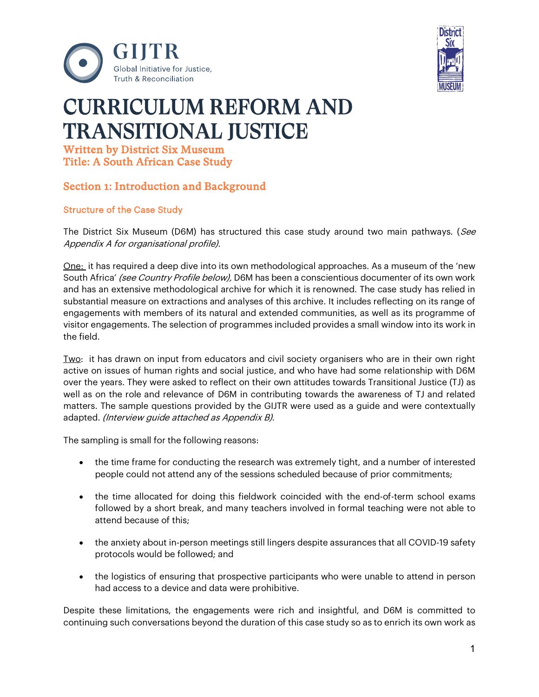



# CURRICULUM REFORM AND TRANSITIONAL JUSTICE

Written by District Six Museum Title: A South African Case Study

# Section 1: Introduction and Background

## Structure of the Case Study

The District Six Museum (D6M) has structured this case study around two main pathways. (See Appendix A for organisational profile).

One: it has required a deep dive into its own methodological approaches. As a museum of the 'new South Africa' (see Country Profile below), D6M has been a conscientious documenter of its own work and has an extensive methodological archive for which it is renowned. The case study has relied in substantial measure on extractions and analyses of this archive. It includes reflecting on its range of engagements with members of its natural and extended communities, as well as its programme of visitor engagements. The selection of programmes included provides a small window into its work in the field.

Two: it has drawn on input from educators and civil society organisers who are in their own right active on issues of human rights and social justice, and who have had some relationship with D6M over the years. They were asked to reflect on their own attitudes towards Transitional Justice (TJ) as well as on the role and relevance of D6M in contributing towards the awareness of TJ and related matters. The sample questions provided by the GIJTR were used as a guide and were contextually adapted. (Interview guide attached as Appendix B).

The sampling is small for the following reasons:

- the time frame for conducting the research was extremely tight, and a number of interested people could not attend any of the sessions scheduled because of prior commitments;
- the time allocated for doing this fieldwork coincided with the end-of-term school exams followed by a short break, and many teachers involved in formal teaching were not able to attend because of this;
- the anxiety about in-person meetings still lingers despite assurances that all COVID-19 safety protocols would be followed; and
- the logistics of ensuring that prospective participants who were unable to attend in person had access to a device and data were prohibitive.

Despite these limitations, the engagements were rich and insightful, and D6M is committed to continuing such conversations beyond the duration of this case study so as to enrich its own work as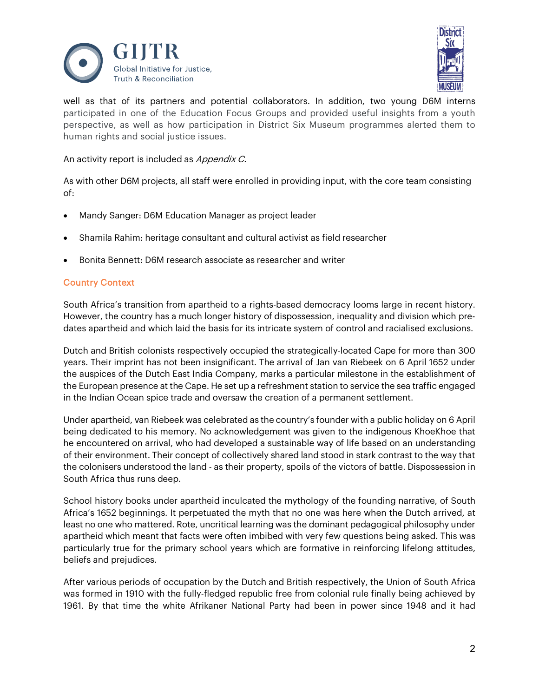



well as that of its partners and potential collaborators. In addition, two young D6M interns participated in one of the Education Focus Groups and provided useful insights from a youth perspective, as well as how participation in District Six Museum programmes alerted them to human rights and social justice issues.

An activity report is included as Appendix C.

As with other D6M projects, all staff were enrolled in providing input, with the core team consisting of:

- Mandy Sanger: D6M Education Manager as project leader
- Shamila Rahim: heritage consultant and cultural activist as field researcher
- Bonita Bennett: D6M research associate as researcher and writer

#### Country Context

South Africa's transition from apartheid to a rights-based democracy looms large in recent history. However, the country has a much longer history of dispossession, inequality and division which predates apartheid and which laid the basis for its intricate system of control and racialised exclusions.

Dutch and British colonists respectively occupied the strategically-located Cape for more than 300 years. Their imprint has not been insignificant. The arrival of Jan van Riebeek on 6 April 1652 under the auspices of the Dutch East India Company, marks a particular milestone in the establishment of the European presence at the Cape. He set up a refreshment station to service the sea traffic engaged in the Indian Ocean spice trade and oversaw the creation of a permanent settlement.

Under apartheid, van Riebeek was celebrated as the country's founder with a public holiday on 6 April being dedicated to his memory. No acknowledgement was given to the indigenous KhoeKhoe that he encountered on arrival, who had developed a sustainable way of life based on an understanding of their environment. Their concept of collectively shared land stood in stark contrast to the way that the colonisers understood the land - as their property, spoils of the victors of battle. Dispossession in South Africa thus runs deep.

School history books under apartheid inculcated the mythology of the founding narrative, of South Africa's 1652 beginnings. It perpetuated the myth that no one was here when the Dutch arrived, at least no one who mattered. Rote, uncritical learning was the dominant pedagogical philosophy under apartheid which meant that facts were often imbibed with very few questions being asked. This was particularly true for the primary school years which are formative in reinforcing lifelong attitudes, beliefs and prejudices.

After various periods of occupation by the Dutch and British respectively, the Union of South Africa was formed in 1910 with the fully-fledged republic free from colonial rule finally being achieved by 1961. By that time the white Afrikaner National Party had been in power since 1948 and it had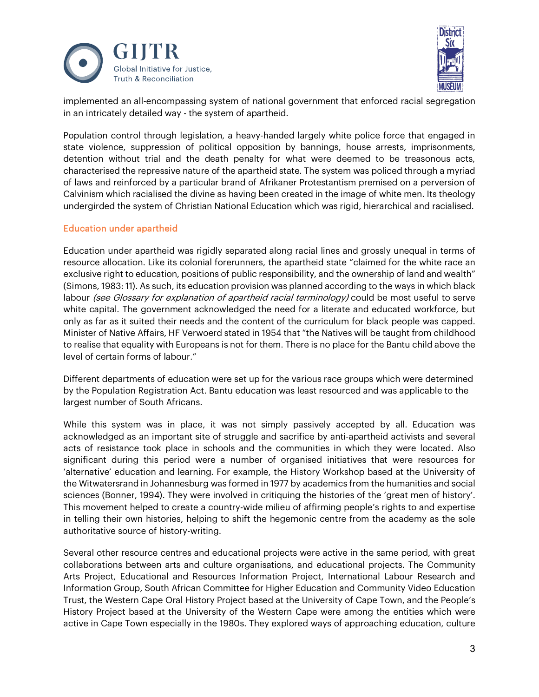



implemented an all-encompassing system of national government that enforced racial segregation in an intricately detailed way - the system of apartheid.

Population control through legislation, a heavy-handed largely white police force that engaged in state violence, suppression of political opposition by bannings, house arrests, imprisonments, detention without trial and the death penalty for what were deemed to be treasonous acts, characterised the repressive nature of the apartheid state. The system was policed through a myriad of laws and reinforced by a particular brand of Afrikaner Protestantism premised on a perversion of Calvinism which racialised the divine as having been created in the image of white men. Its theology undergirded the system of Christian National Education which was rigid, hierarchical and racialised.

#### Education under apartheid

Education under apartheid was rigidly separated along racial lines and grossly unequal in terms of resource allocation. Like its colonial forerunners, the apartheid state "claimed for the white race an exclusive right to education, positions of public responsibility, and the ownership of land and wealth" (Simons, 1983: 11). As such, its education provision was planned according to the ways in which black labour *(see Glossary for explanation of apartheid racial terminology)* could be most useful to serve white capital. The government acknowledged the need for a literate and educated workforce, but only as far as it suited their needs and the content of the curriculum for black people was capped. Minister of Native Affairs, HF Verwoerd stated in 1954 that "the Natives will be taught from childhood to realise that equality with Europeans is not for them. There is no place for the Bantu child above the level of certain forms of labour."

Different departments of education were set up for the various race groups which were determined by the Population Registration Act. Bantu education was least resourced and was applicable to the largest number of South Africans.

While this system was in place, it was not simply passively accepted by all. Education was acknowledged as an important site of struggle and sacrifice by anti-apartheid activists and several acts of resistance took place in schools and the communities in which they were located. Also significant during this period were a number of organised initiatives that were resources for 'alternative' education and learning. For example, the History Workshop based at the University of the Witwatersrand in Johannesburg was formed in 1977 by academics from the humanities and social sciences (Bonner, 1994). They were involved in critiquing the histories of the 'great men of history'. This movement helped to create a country-wide milieu of affirming people's rights to and expertise in telling their own histories, helping to shift the hegemonic centre from the academy as the sole authoritative source of history-writing.

Several other resource centres and educational projects were active in the same period, with great collaborations between arts and culture organisations, and educational projects. The Community Arts Project, Educational and Resources Information Project, International Labour Research and Information Group, South African Committee for Higher Education and Community Video Education Trust, the Western Cape Oral History Project based at the University of Cape Town, and the People's History Project based at the University of the Western Cape were among the entities which were active in Cape Town especially in the 1980s. They explored ways of approaching education, culture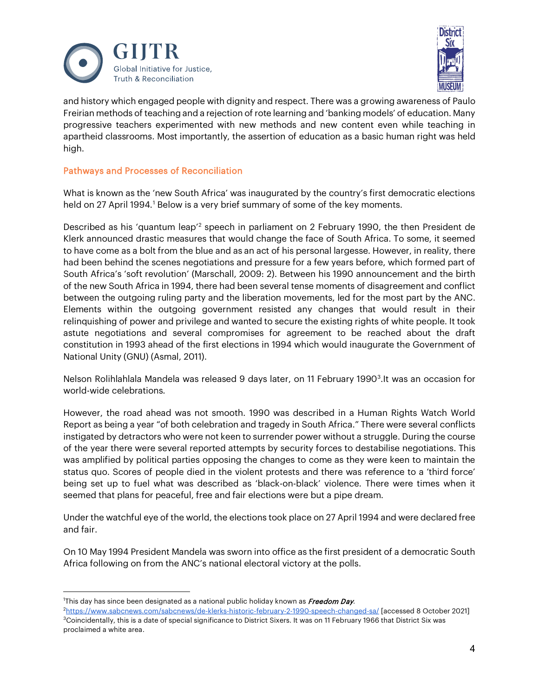



and history which engaged people with dignity and respect. There was a growing awareness of Paulo Freirian methods of teaching and a rejection of rote learning and 'banking models' of education. Many progressive teachers experimented with new methods and new content even while teaching in apartheid classrooms. Most importantly, the assertion of education as a basic human right was held high.

## Pathways and Processes of Reconciliation

What is known as the 'new South Africa' was inaugurated by the country's first democratic elections held on 27 April [1](#page-3-0)994.<sup>1</sup> Below is a very brief summary of some of the key moments.

Described as his 'quantum leap'[2](#page-3-1) speech in parliament on 2 February 1990, the then President de Klerk announced drastic measures that would change the face of South Africa. To some, it seemed to have come as a bolt from the blue and as an act of his personal largesse. However, in reality, there had been behind the scenes negotiations and pressure for a few years before, which formed part of South Africa's 'soft revolution' (Marschall, 2009: 2). Between his 1990 announcement and the birth of the new South Africa in 1994, there had been several tense moments of disagreement and conflict between the outgoing ruling party and the liberation movements, led for the most part by the ANC. Elements within the outgoing government resisted any changes that would result in their relinquishing of power and privilege and wanted to secure the existing rights of white people. It took astute negotiations and several compromises for agreement to be reached about the draft constitution in 1993 ahead of the first elections in 1994 which would inaugurate the Government of National Unity (GNU) (Asmal, 2011).

Nelson Rolihlahlala Mandela was released 9 days later, on 11 February 1990<sup>3</sup>. It was an occasion for world-wide celebrations.

However, the road ahead was not smooth. 1990 was described in a Human Rights Watch World Report as being a year "of both celebration and tragedy in South Africa." There were several conflicts instigated by detractors who were not keen to surrender power without a struggle. During the course of the year there were several reported attempts by security forces to destabilise negotiations. This was amplified by political parties opposing the changes to come as they were keen to maintain the status quo. Scores of people died in the violent protests and there was reference to a 'third force' being set up to fuel what was described as 'black-on-black' violence. There were times when it seemed that plans for peaceful, free and fair elections were but a pipe dream.

Under the watchful eye of the world, the elections took place on 27 April 1994 and were declared free and fair.

On 10 May 1994 President Mandela was sworn into office as the first president of a democratic South Africa following on from the ANC's national electoral victory at the polls.

<span id="page-3-0"></span><sup>&</sup>lt;sup>1</sup>This day has since been designated as a national public holiday known as *Freedom Day*.

<span id="page-3-2"></span><span id="page-3-1"></span><sup>2</sup> <https://www.sabcnews.com/sabcnews/de-klerks-historic-february-2-1990-speech-changed-sa/> [accessed 8 October 2021]  $3$ Coincidentally, this is a date of special significance to District Sixers. It was on 11 February 1966 that District Six was proclaimed a white area.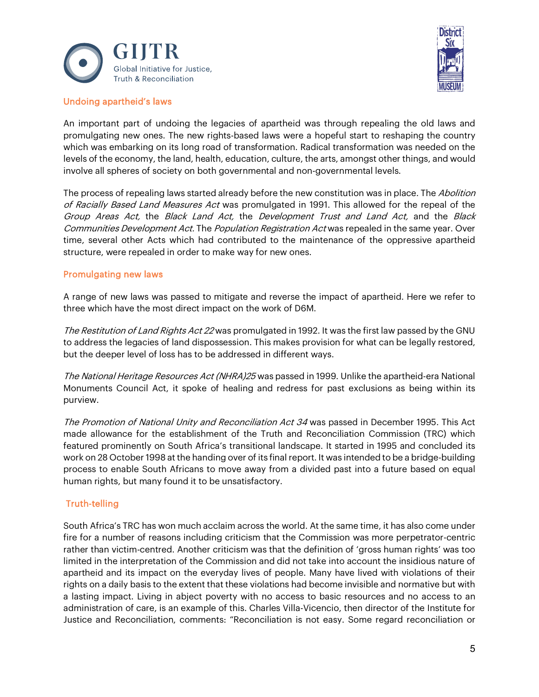



#### Undoing apartheid's laws

An important part of undoing the legacies of apartheid was through repealing the old laws and promulgating new ones. The new rights-based laws were a hopeful start to reshaping the country which was embarking on its long road of transformation. Radical transformation was needed on the levels of the economy, the land, health, education, culture, the arts, amongst other things, and would involve all spheres of society on both governmental and non-governmental levels.

The process of repealing laws started already before the new constitution was in place. The Abolition of Racially Based Land Measures Act was promulgated in 1991. This allowed for the repeal of the Group Areas Act, the Black Land Act, the Development Trust and Land Act, and the Black Communities Development Act. The Population Registration Act was repealed in the same year. Over time, several other Acts which had contributed to the maintenance of the oppressive apartheid structure, were repealed in order to make way for new ones.

#### Promulgating new laws

A range of new laws was passed to mitigate and reverse the impact of apartheid. Here we refer to three which have the most direct impact on the work of D6M.

The Restitution of Land Rights Act 22 was promulgated in 1992. It was the first law passed by the GNU to address the legacies of land dispossession. This makes provision for what can be legally restored, but the deeper level of loss has to be addressed in different ways.

The National Heritage Resources Act (NHRA)25 was passed in 1999. Unlike the apartheid-era National Monuments Council Act, it spoke of healing and redress for past exclusions as being within its purview.

The Promotion of National Unity and Reconciliation Act 34 was passed in December 1995. This Act made allowance for the establishment of the Truth and Reconciliation Commission (TRC) which featured prominently on South Africa's transitional landscape. It started in 1995 and concluded its work on 28 October 1998 at the handing over of its final report. It was intended to be a bridge-building process to enable South Africans to move away from a divided past into a future based on equal human rights, but many found it to be unsatisfactory.

## Truth-telling

South Africa's TRC has won much acclaim across the world. At the same time, it has also come under fire for a number of reasons including criticism that the Commission was more perpetrator-centric rather than victim-centred. Another criticism was that the definition of 'gross human rights' was too limited in the interpretation of the Commission and did not take into account the insidious nature of apartheid and its impact on the everyday lives of people. Many have lived with violations of their rights on a daily basis to the extent that these violations had become invisible and normative but with a lasting impact. Living in abject poverty with no access to basic resources and no access to an administration of care, is an example of this. Charles Villa-Vicencio, then director of the Institute for Justice and Reconciliation, comments: "Reconciliation is not easy. Some regard reconciliation or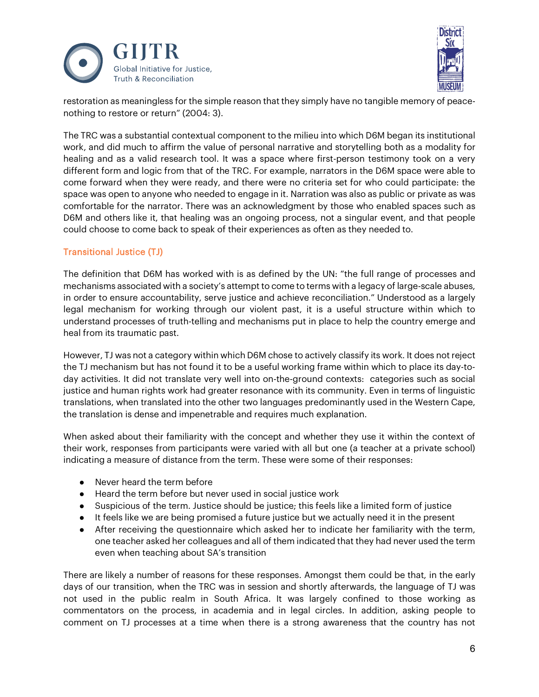



restoration as meaningless for the simple reason that they simply have no tangible memory of peacenothing to restore or return" (2004: 3).

The TRC was a substantial contextual component to the milieu into which D6M began its institutional work, and did much to affirm the value of personal narrative and storytelling both as a modality for healing and as a valid research tool. It was a space where first-person testimony took on a very different form and logic from that of the TRC. For example, narrators in the D6M space were able to come forward when they were ready, and there were no criteria set for who could participate: the space was open to anyone who needed to engage in it. Narration was also as public or private as was comfortable for the narrator. There was an acknowledgment by those who enabled spaces such as D6M and others like it, that healing was an ongoing process, not a singular event, and that people could choose to come back to speak of their experiences as often as they needed to.

## Transitional Justice (TJ)

The definition that D6M has worked with is as defined by the UN: "the full range of processes and mechanisms associated with a society's attempt to come to terms with a legacy of large-scale abuses, in order to ensure accountability, serve justice and achieve reconciliation." Understood as a largely legal mechanism for working through our violent past, it is a useful structure within which to understand processes of truth-telling and mechanisms put in place to help the country emerge and heal from its traumatic past.

However, TJ was not a category within which D6M chose to actively classify its work. It does not reject the TJ mechanism but has not found it to be a useful working frame within which to place its day-today activities. It did not translate very well into on-the-ground contexts: categories such as social justice and human rights work had greater resonance with its community. Even in terms of linguistic translations, when translated into the other two languages predominantly used in the Western Cape, the translation is dense and impenetrable and requires much explanation.

When asked about their familiarity with the concept and whether they use it within the context of their work, responses from participants were varied with all but one (a teacher at a private school) indicating a measure of distance from the term. These were some of their responses:

- Never heard the term before
- Heard the term before but never used in social justice work
- Suspicious of the term. Justice should be justice; this feels like a limited form of justice
- It feels like we are being promised a future justice but we actually need it in the present
- After receiving the questionnaire which asked her to indicate her familiarity with the term, one teacher asked her colleagues and all of them indicated that they had never used the term even when teaching about SA's transition

There are likely a number of reasons for these responses. Amongst them could be that, in the early days of our transition, when the TRC was in session and shortly afterwards, the language of TJ was not used in the public realm in South Africa. It was largely confined to those working as commentators on the process, in academia and in legal circles. In addition, asking people to comment on TJ processes at a time when there is a strong awareness that the country has not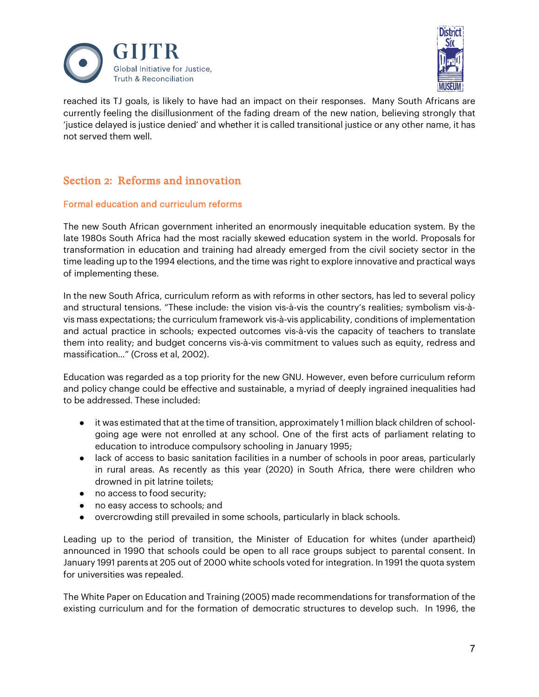



reached its TJ goals, is likely to have had an impact on their responses. Many South Africans are currently feeling the disillusionment of the fading dream of the new nation, believing strongly that 'justice delayed is justice denied' and whether it is called transitional justice or any other name, it has not served them well.

# Section 2: Reforms and innovation

## Formal education and curriculum reforms

The new South African government inherited an enormously inequitable education system. By the late 1980s South Africa had the most racially skewed education system in the world. Proposals for transformation in education and training had already emerged from the civil society sector in the time leading up to the 1994 elections, and the time was right to explore innovative and practical ways of implementing these.

In the new South Africa, curriculum reform as with reforms in other sectors, has led to several policy and structural tensions. "These include: the vision vis-à-vis the country's realities; symbolism vis-àvis mass expectations; the curriculum framework vis-à-vis applicability, conditions of implementation and actual practice in schools; expected outcomes vis-à-vis the capacity of teachers to translate them into reality; and budget concerns vis-à-vis commitment to values such as equity, redress and massification…" (Cross et al, 2002).

Education was regarded as a top priority for the new GNU. However, even before curriculum reform and policy change could be effective and sustainable, a myriad of deeply ingrained inequalities had to be addressed. These included:

- it was estimated that at the time of transition, approximately 1 million black children of schoolgoing age were not enrolled at any school. One of the first acts of parliament relating to education to introduce compulsory schooling in January 1995;
- lack of access to basic sanitation facilities in a number of schools in poor areas, particularly in rural areas. As recently as this year (2020) in South Africa, there were children who drowned in pit latrine toilets;
- no access to food security;
- no easy access to schools; and
- overcrowding still prevailed in some schools, particularly in black schools.

Leading up to the period of transition, the Minister of Education for whites (under apartheid) announced in 1990 that schools could be open to all race groups subject to parental consent. In January 1991 parents at 205 out of 2000 white schools voted for integration. In 1991 the quota system for universities was repealed.

The White Paper on Education and Training (2005) made recommendations for transformation of the existing curriculum and for the formation of democratic structures to develop such. In 1996, the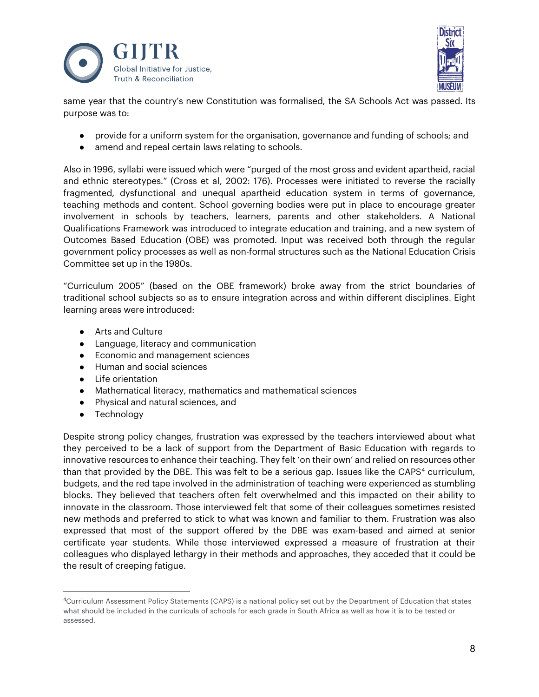



same year that the country's new Constitution was formalised, the SA Schools Act was passed. Its purpose was to:

- provide for a uniform system for the organisation, governance and funding of schools; and
- amend and repeal certain laws relating to schools.

Also in 1996, syllabi were issued which were "purged of the most gross and evident apartheid, racial and ethnic stereotypes." (Cross et al, 2002: 176). Processes were initiated to reverse the racially fragmented, dysfunctional and unequal apartheid education system in terms of governance, teaching methods and content. School governing bodies were put in place to encourage greater involvement in schools by teachers, learners, parents and other stakeholders. A National Qualifications Framework was introduced to integrate education and training, and a new system of Outcomes Based Education (OBE) was promoted. Input was received both through the regular government policy processes as well as non-formal structures such as the National Education Crisis Committee set up in the 1980s.

"Curriculum 2005" (based on the OBE framework) broke away from the strict boundaries of traditional school subjects so as to ensure integration across and within different disciplines. Eight learning areas were introduced:

- Arts and Culture
- Language, literacy and communication
- Economic and management sciences
- Human and social sciences
- Life orientation
- Mathematical literacy, mathematics and mathematical sciences
- Physical and natural sciences, and
- **•** Technology

Despite strong policy changes, frustration was expressed by the teachers interviewed about what they perceived to be a lack of support from the Department of Basic Education with regards to innovative resources to enhance their teaching. They felt 'on their own' and relied on resources other than that provided by the DBE. This was felt to be a serious gap. Issues like the CAPS<sup>[4](#page-7-0)</sup> curriculum, budgets, and the red tape involved in the administration of teaching were experienced as stumbling blocks. They believed that teachers often felt overwhelmed and this impacted on their ability to innovate in the classroom. Those interviewed felt that some of their colleagues sometimes resisted new methods and preferred to stick to what was known and familiar to them. Frustration was also expressed that most of the support offered by the DBE was exam-based and aimed at senior certificate year students. While those interviewed expressed a measure of frustration at their colleagues who displayed lethargy in their methods and approaches, they acceded that it could be the result of creeping fatigue.

<span id="page-7-0"></span><sup>4</sup>Curriculum Assessment Policy Statements (CAPS) is a national policy set out by the Department of Education that states what should be included in the curricula of schools for each grade in South Africa as well as how it is to be tested or assessed.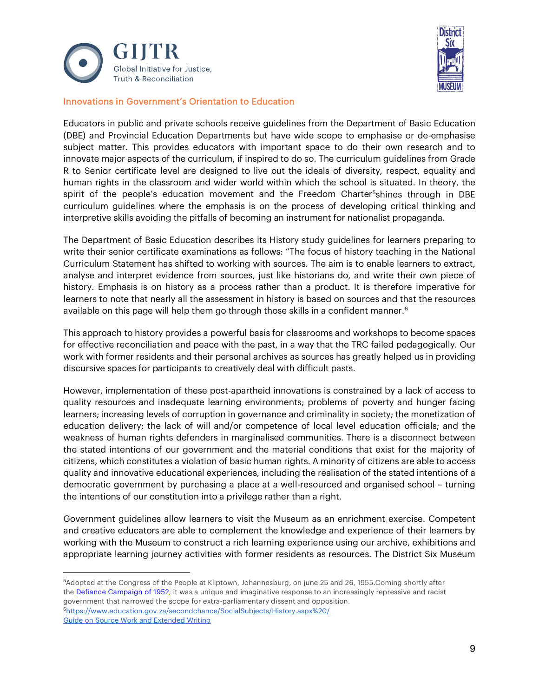



#### Innovations in Government's Orientation to Education

Educators in public and private schools receive guidelines from the Department of Basic Education (DBE) and Provincial Education Departments but have wide scope to emphasise or de-emphasise subject matter. This provides educators with important space to do their own research and to innovate major aspects of the curriculum, if inspired to do so. The curriculum guidelines from Grade R to Senior certificate level are designed to live out the ideals of diversity, respect, equality and human rights in the classroom and wider world within which the school is situated. In theory, the spirit of the people's education movement and the Freedom Charter<sup>5</sup>shines through in DBE curriculum guidelines where the emphasis is on the process of developing critical thinking and interpretive skills avoiding the pitfalls of becoming an instrument for nationalist propaganda.

The Department of Basic Education describes its History study guidelines for learners preparing to write their senior certificate examinations as follows: "The focus of history teaching in the National Curriculum Statement has shifted to working with sources. The aim is to enable learners to extract, analyse and interpret evidence from sources, just like historians do, and write their own piece of history. Emphasis is on history as a process rather than a product. It is therefore imperative for learners to note that nearly all the assessment in history is based on sources and that the resources available on this page will help them go through those skills in a confident manner.<sup>[6](#page-8-1)</sup>

This approach to history provides a powerful basis for classrooms and workshops to become spaces for effective reconciliation and peace with the past, in a way that the TRC failed pedagogically. Our work with former residents and their personal archives as sources has greatly helped us in providing discursive spaces for participants to creatively deal with difficult pasts.

However, implementation of these post-apartheid innovations is constrained by a lack of access to quality resources and inadequate learning environments; problems of poverty and hunger facing learners; increasing levels of corruption in governance and criminality in society; the monetization of education delivery; the lack of will and/or competence of local level education officials; and the weakness of human rights defenders in marginalised communities. There is a disconnect between the stated intentions of our government and the material conditions that exist for the majority of citizens, which constitutes a violation of basic human rights. A minority of citizens are able to access quality and innovative educational experiences, including the realisation of the stated intentions of a democratic government by purchasing a place at a well-resourced and organised school – turning the intentions of our constitution into a privilege rather than a right.

Government guidelines allow learners to visit the Museum as an enrichment exercise. Competent and creative educators are able to complement the knowledge and experience of their learners by working with the Museum to construct a rich learning experience using our archive, exhibitions and appropriate learning journey activities with former residents as resources. The District Six Museum

<span id="page-8-0"></span><sup>5</sup> Adopted at the Congress of the People at Kliptown, Johannesburg, on june 25 and 26, 1955.Coming shortly after the [Defiance Campaign of 1952,](https://www.sahistory.org.za/defiance-campagin/index.htm) it was a unique and imaginative response to an increasingly repressive and racist government that narrowed the scope for extra-parliamentary dissent and opposition. [6https://www.education.gov.za/secondchance/SocialSubjects/History.aspx%20/](https://www.education.gov.za/secondchance/SocialSubjects/History.aspx%20/)

<span id="page-8-1"></span>[Guide on Source Work and Extended Writing](https://www.education.gov.za/LinkClick.aspx?link=https%3a%2f%2fwww.education.gov.za%2fPortals%2f0%2fCD%2fComputer%2fSelf-Study_History_Notes_Gr_10-12.pdf%3fver%3d2014-04-03-090739-000&tabid=1759&portalid=5&mid=7510)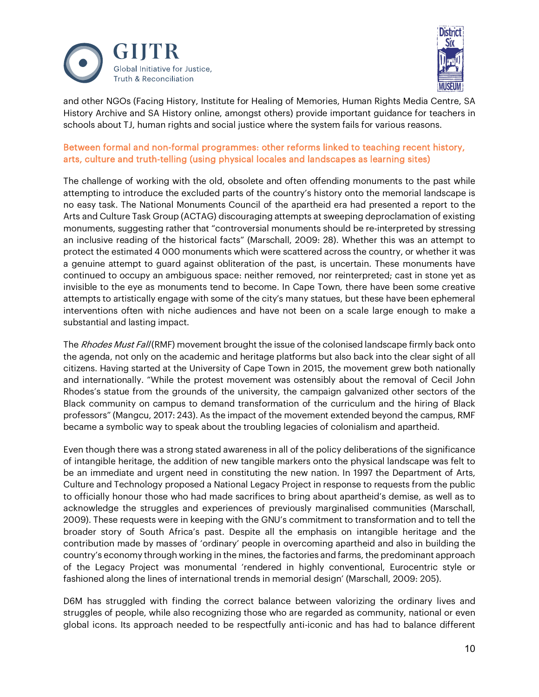



and other NGOs (Facing History, Institute for Healing of Memories, Human Rights Media Centre, SA History Archive and SA History online, amongst others) provide important guidance for teachers in schools about TJ, human rights and social justice where the system fails for various reasons.

## Between formal and non-formal programmes: other reforms linked to teaching recent history, arts, culture and truth-telling (using physical locales and landscapes as learning sites)

The challenge of working with the old, obsolete and often offending monuments to the past while attempting to introduce the excluded parts of the country's history onto the memorial landscape is no easy task. The National Monuments Council of the apartheid era had presented a report to the Arts and Culture Task Group (ACTAG) discouraging attempts at sweeping deproclamation of existing monuments, suggesting rather that "controversial monuments should be re-interpreted by stressing an inclusive reading of the historical facts" (Marschall, 2009: 28). Whether this was an attempt to protect the estimated 4 000 monuments which were scattered across the country, or whether it was a genuine attempt to guard against obliteration of the past, is uncertain. These monuments have continued to occupy an ambiguous space: neither removed, nor reinterpreted; cast in stone yet as invisible to the eye as monuments tend to become. In Cape Town, there have been some creative attempts to artistically engage with some of the city's many statues, but these have been ephemeral interventions often with niche audiences and have not been on a scale large enough to make a substantial and lasting impact.

The Rhodes Must Fall (RMF) movement brought the issue of the colonised landscape firmly back onto the agenda, not only on the academic and heritage platforms but also back into the clear sight of all citizens. Having started at the University of Cape Town in 2015, the movement grew both nationally and internationally. "While the protest movement was ostensibly about the removal of Cecil John Rhodes's statue from the grounds of the university, the campaign galvanized other sectors of the Black community on campus to demand transformation of the curriculum and the hiring of Black professors" (Mangcu, 2017: 243). As the impact of the movement extended beyond the campus, RMF became a symbolic way to speak about the troubling legacies of colonialism and apartheid.

Even though there was a strong stated awareness in all of the policy deliberations of the significance of intangible heritage, the addition of new tangible markers onto the physical landscape was felt to be an immediate and urgent need in constituting the new nation. In 1997 the Department of Arts, Culture and Technology proposed a National Legacy Project in response to requests from the public to officially honour those who had made sacrifices to bring about apartheid's demise, as well as to acknowledge the struggles and experiences of previously marginalised communities (Marschall, 2009). These requests were in keeping with the GNU's commitment to transformation and to tell the broader story of South Africa's past. Despite all the emphasis on intangible heritage and the contribution made by masses of 'ordinary' people in overcoming apartheid and also in building the country's economy through working in the mines, the factories and farms, the predominant approach of the Legacy Project was monumental 'rendered in highly conventional, Eurocentric style or fashioned along the lines of international trends in memorial design' (Marschall, 2009: 205).

D6M has struggled with finding the correct balance between valorizing the ordinary lives and struggles of people, while also recognizing those who are regarded as community, national or even global icons. Its approach needed to be respectfully anti-iconic and has had to balance different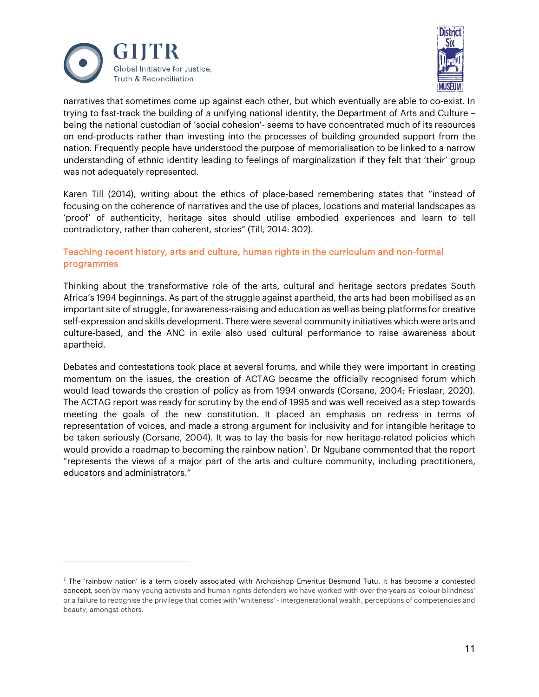



narratives that sometimes come up against each other, but which eventually are able to co-exist. In trying to fast-track the building of a unifying national identity, the Department of Arts and Culture – being the national custodian of 'social cohesion'- seems to have concentrated much of its resources on end-products rather than investing into the processes of building grounded support from the nation. Frequently people have understood the purpose of memorialisation to be linked to a narrow understanding of ethnic identity leading to feelings of marginalization if they felt that 'their' group was not adequately represented.

Karen Till (2014), writing about the ethics of place-based remembering states that "instead of focusing on the coherence of narratives and the use of places, locations and material landscapes as 'proof' of authenticity, heritage sites should utilise embodied experiences and learn to tell contradictory, rather than coherent, stories" (Till, 2014: 302).

## Teaching recent history, arts and culture, human rights in the curriculum and non-formal programmes

Thinking about the transformative role of the arts, cultural and heritage sectors predates South Africa's 1994 beginnings. As part of the struggle against apartheid, the arts had been mobilised as an important site of struggle, for awareness-raising and education as well as being platforms for creative self-expression and skills development. There were several community initiatives which were arts and culture-based, and the ANC in exile also used cultural performance to raise awareness about apartheid.

Debates and contestations took place at several forums, and while they were important in creating momentum on the issues, the creation of ACTAG became the officially recognised forum which would lead towards the creation of policy as from 1994 onwards (Corsane, 2004; Frieslaar, 2020). The ACTAG report was ready for scrutiny by the end of 1995 and was well received as a step towards meeting the goals of the new constitution. It placed an emphasis on redress in terms of representation of voices, and made a strong argument for inclusivity and for intangible heritage to be taken seriously (Corsane, 2004). It was to lay the basis for new heritage-related policies which would provide a roadmap to becoming the rainbow nation<sup>[7](#page-10-0)</sup>. Dr Ngubane commented that the report "represents the views of a major part of the arts and culture community, including practitioners, educators and administrators."

<span id="page-10-0"></span> $<sup>7</sup>$  The 'rainbow nation' is a term closely associated with Archbishop Emeritus Desmond Tutu. It has become a contested</sup> concept, seen by many young activists and human rights defenders we have worked with over the years as 'colour blindness' or a failure to recognise the privilege that comes with 'whiteness' - intergenerational wealth, perceptions of competencies and beauty, amongst others.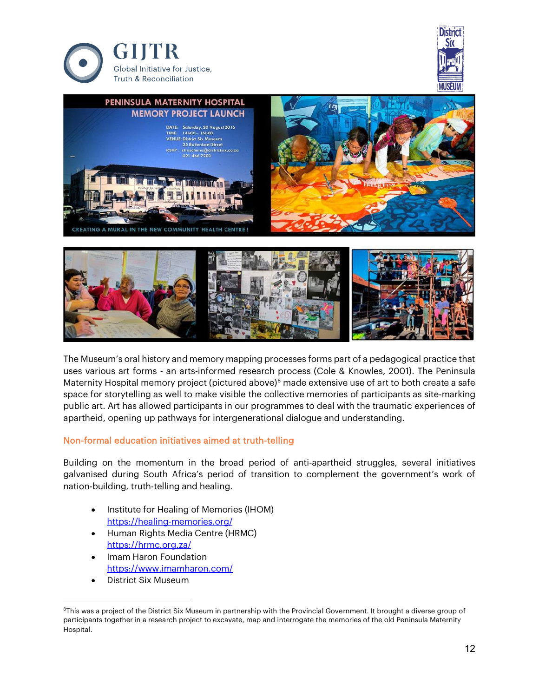







## Non-formal education initiatives aimed at truth-telling

Building on the momentum in the broad period of anti-apartheid struggles, several initiatives galvanised during South Africa's period of transition to complement the government's work of nation-building, truth-telling and healing.

- Institute for Healing of Memories (IHOM) <https://healing-memories.org/>
- Human Rights Media Centre (HRMC) <https://hrmc.org.za/>
- Imam Haron Foundation <https://www.imamharon.com/>
- District Six Museum

<span id="page-11-0"></span><sup>&</sup>lt;sup>8</sup>This was a project of the District Six Museum in partnership with the Provincial Government. It brought a diverse group of participants together in a research project to excavate, map and interrogate the memories of the old Peninsula Maternity Hospital.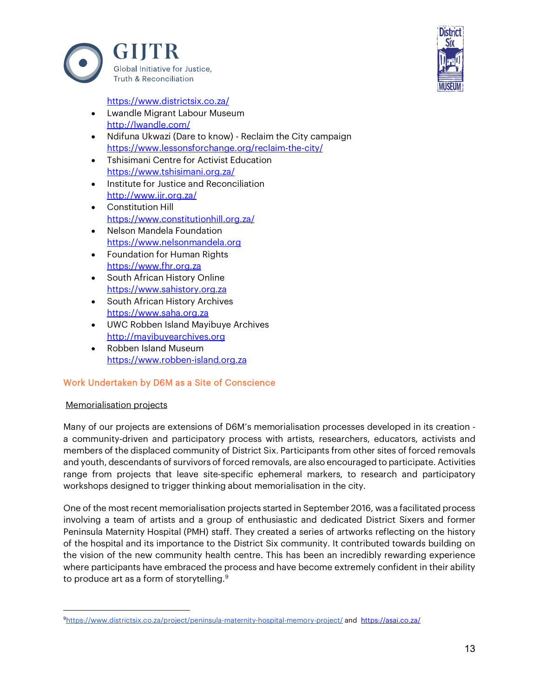



<https://www.districtsix.co.za/>

- Lwandle Migrant Labour Museum <http://lwandle.com/>
- Ndifuna Ukwazi (Dare to know) Reclaim the City campaign <https://www.lessonsforchange.org/reclaim-the-city/>
- Tshisimani Centre for Activist Education <https://www.tshisimani.org.za/>
- Institute for Justice and Reconciliation <http://www.ijr.org.za/>
- Constitution Hill <https://www.constitutionhill.org.za/>
- Nelson Mandela Foundation [https://www.nelsonmandela.org](https://www.nelsonmandela.org/)
- Foundation for Human Rights [https://www.fhr.org.za](https://www.fhr.org.za/)
- South African History Online [https://www.sahistory.org.za](https://www.sahistory.org.za/)
- South African History Archives [https://www.saha.org.za](https://www.saha.org.za/)
- UWC Robben Island Mayibuye Archives [http://mayibuyearchives.org](http://mayibuyearchives.org/)
- Robben Island Museum [https://www.robben-island.org.za](https://www.robben-island.org.za/)

## Work Undertaken by D6M as a Site of Conscience

## Memorialisation projects

Many of our projects are extensions of D6M's memorialisation processes developed in its creation a community-driven and participatory process with artists, researchers, educators, activists and members of the displaced community of District Six. Participants from other sites of forced removals and youth, descendants of survivors of forced removals, are also encouraged to participate. Activities range from projects that leave site-specific ephemeral markers, to research and participatory workshops designed to trigger thinking about memorialisation in the city.

One of the most recent memorialisation projects started in September 2016, was a facilitated process involving a team of artists and a group of enthusiastic and dedicated District Sixers and former Peninsula Maternity Hospital (PMH) staff. They created a series of artworks reflecting on the history of the hospital and its importance to the District Six community. It contributed towards building on the vision of the new community health centre. This has been an incredibly rewarding experience where participants have embraced the process and have become extremely confident in their ability to produce art as a form of storytelling.<sup>[9](#page-12-0)</sup>

<span id="page-12-0"></span>[<sup>9</sup>https://www.districtsix.co.za/project/peninsula-maternity-hospital-memory-project/](https://www.districtsix.co.za/project/peninsula-maternity-hospital-memory-project/) and <https://asai.co.za/>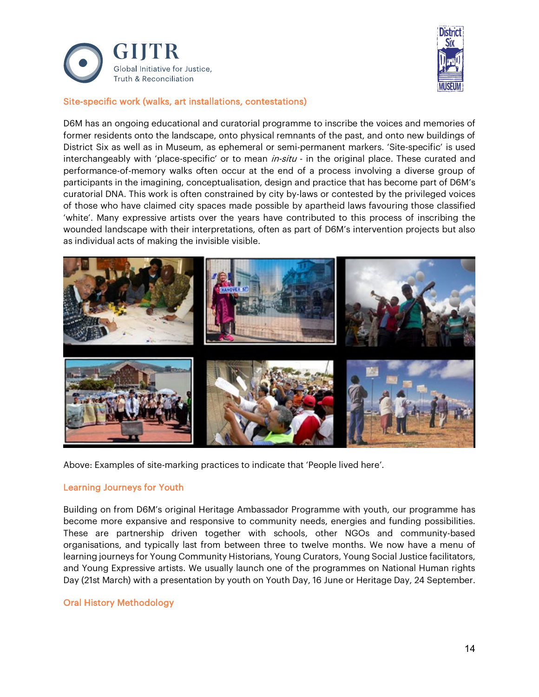



#### Site-specific work (walks, art installations, contestations)

D6M has an ongoing educational and curatorial programme to inscribe the voices and memories of former residents onto the landscape, onto physical remnants of the past, and onto new buildings of District Six as well as in Museum, as ephemeral or semi-permanent markers. 'Site-specific' is used interchangeably with 'place-specific' or to mean  $in\text{-}situ$  - in the original place. These curated and performance-of-memory walks often occur at the end of a process involving a diverse group of participants in the imagining, conceptualisation, design and practice that has become part of D6M's curatorial DNA. This work is often constrained by city by-laws or contested by the privileged voices of those who have claimed city spaces made possible by apartheid laws favouring those classified 'white'. Many expressive artists over the years have contributed to this process of inscribing the wounded landscape with their interpretations, often as part of D6M's intervention projects but also as individual acts of making the invisible visible.



Above: Examples of site-marking practices to indicate that 'People lived here'.

#### Learning Journeys for Youth

Building on from D6M's original Heritage Ambassador Programme with youth, our programme has become more expansive and responsive to community needs, energies and funding possibilities. These are partnership driven together with schools, other NGOs and community-based organisations, and typically last from between three to twelve months. We now have a menu of learning journeys for Young Community Historians, Young Curators, Young Social Justice facilitators, and Young Expressive artists. We usually launch one of the programmes on National Human rights Day (21st March) with a presentation by youth on Youth Day, 16 June or Heritage Day, 24 September.

## Oral History Methodology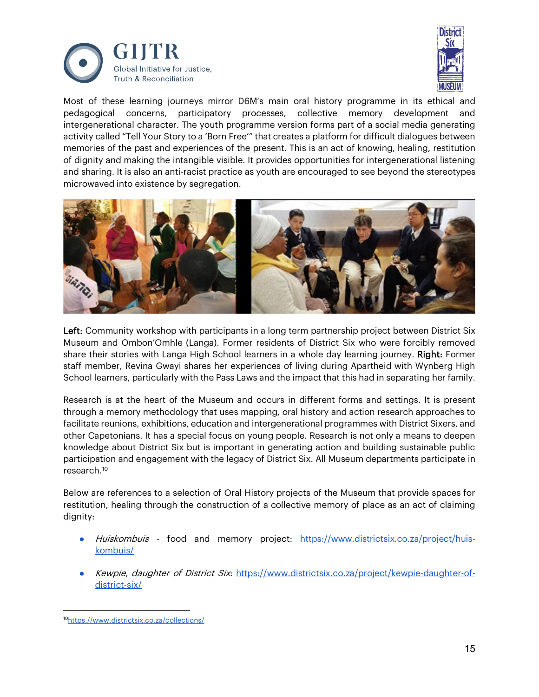



Most of these learning journeys mirror D6M's main oral history programme in its ethical and pedagogical concerns, participatory processes, collective memory development and intergenerational character. The youth programme version forms part of a social media generating activity called "Tell Your Story to a 'Born Free'" that creates a platform for difficult dialogues between memories of the past and experiences of the present. This is an act of knowing, healing, restitution of dignity and making the intangible visible. It provides opportunities for intergenerational listening and sharing. It is also an anti-racist practice as youth are encouraged to see beyond the stereotypes microwaved into existence by segregation.



Left: Community workshop with participants in a long term partnership project between District Six Museum and Ombon'Omhle (Langa). Former residents of District Six who were forcibly removed share their stories with Langa High School learners in a whole day learning journey. Right: Former staff member, Revina Gwayi shares her experiences of living during Apartheid with Wynberg High School learners, particularly with the Pass Laws and the impact that this had in separating her family.

Research is at the heart of the Museum and occurs in different forms and settings. It is present through a memory methodology that uses mapping, oral history and action research approaches to facilitate reunions, exhibitions, education and intergenerational programmes with District Sixers, and other Capetonians. It has a special focus on young people. Research is not only a means to deepen knowledge about District Six but is important in generating action and building sustainable public participation and engagement with the legacy of District Six. All Museum departments participate in research.[10](#page-14-0)

Below are references to a selection of Oral History projects of the Museum that provide spaces for restitution, healing through the construction of a collective memory of place as an act of claiming dignity:

- Huiskombuis food and memory project: [https://www.districtsix.co.za/project/huis](https://www.districtsix.co.za/project/huis-kombuis/)[kombuis/](https://www.districtsix.co.za/project/huis-kombuis/)
- Kewpie, daughter of District Six: [https://www.districtsix.co.za/project/kewpie-daughter-of](https://www.districtsix.co.za/project/kewpie-daughter-of-district-six/)[district-six/](https://www.districtsix.co.za/project/kewpie-daughter-of-district-six/)

<span id="page-14-0"></span><sup>1</sup>[0https://www.districtsix.co.za/collections/](https://www.districtsix.co.za/collections/)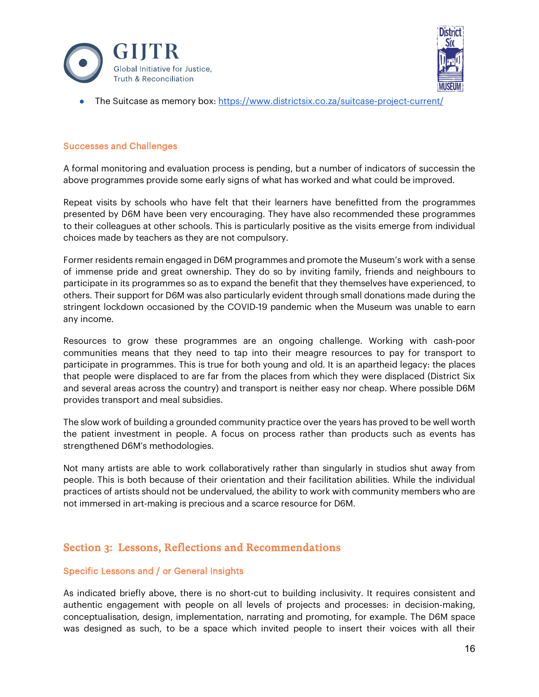



• The Suitcase as memory box: <https://www.districtsix.co.za/suitcase-project-current/>

#### Successes and Challenges

A formal monitoring and evaluation process is pending, but a number of indicators of successin the above programmes provide some early signs of what has worked and what could be improved.

Repeat visits by schools who have felt that their learners have benefitted from the programmes presented by D6M have been very encouraging. They have also recommended these programmes to their colleagues at other schools. This is particularly positive as the visits emerge from individual choices made by teachers as they are not compulsory.

Former residents remain engaged in D6M programmes and promote the Museum's work with a sense of immense pride and great ownership. They do so by inviting family, friends and neighbours to participate in its programmes so as to expand the benefit that they themselves have experienced, to others. Their support for D6M was also particularly evident through small donations made during the stringent lockdown occasioned by the COVID-19 pandemic when the Museum was unable to earn any income.

Resources to grow these programmes are an ongoing challenge. Working with cash-poor communities means that they need to tap into their meagre resources to pay for transport to participate in programmes. This is true for both young and old. It is an apartheid legacy: the places that people were displaced to are far from the places from which they were displaced (District Six and several areas across the country) and transport is neither easy nor cheap. Where possible D6M provides transport and meal subsidies.

The slow work of building a grounded community practice over the years has proved to be well worth the patient investment in people. A focus on process rather than products such as events has strengthened D6M's methodologies.

Not many artists are able to work collaboratively rather than singularly in studios shut away from people. This is both because of their orientation and their facilitation abilities. While the individual practices of artists should not be undervalued, the ability to work with community members who are not immersed in art-making is precious and a scarce resource for D6M.

## Section 3: Lessons, Reflections and Recommendations

#### Specific Lessons and / or General Insights

As indicated briefly above, there is no short-cut to building inclusivity. It requires consistent and authentic engagement with people on all levels of projects and processes: in decision-making, conceptualisation, design, implementation, narrating and promoting, for example. The D6M space was designed as such, to be a space which invited people to insert their voices with all their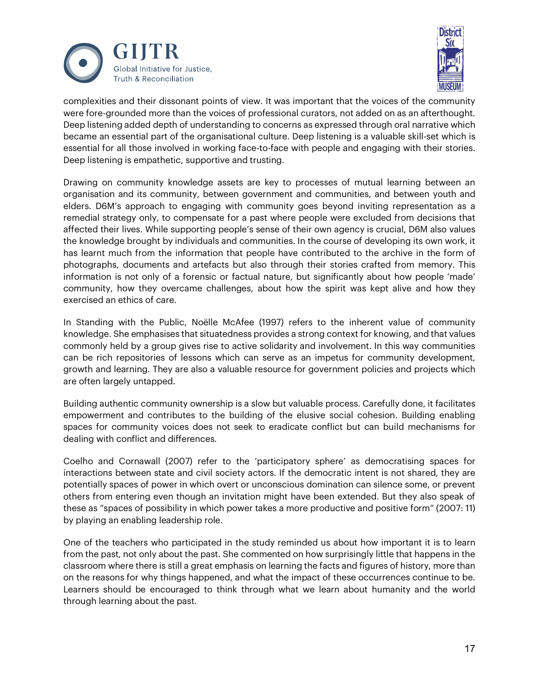



complexities and their dissonant points of view. It was important that the voices of the community were fore-grounded more than the voices of professional curators, not added on as an afterthought. Deep listening added depth of understanding to concerns as expressed through oral narrative which became an essential part of the organisational culture. Deep listening is a valuable skill-set which is essential for all those involved in working face-to-face with people and engaging with their stories. Deep listening is empathetic, supportive and trusting.

Drawing on community knowledge assets are key to processes of mutual learning between an organisation and its community, between government and communities, and between youth and elders. D6M's approach to engaging with community goes beyond inviting representation as a remedial strategy only, to compensate for a past where people were excluded from decisions that affected their lives. While supporting people's sense of their own agency is crucial, D6M also values the knowledge brought by individuals and communities. In the course of developing its own work, it has learnt much from the information that people have contributed to the archive in the form of photographs, documents and artefacts but also through their stories crafted from memory. This information is not only of a forensic or factual nature, but significantly about how people 'made' community, how they overcame challenges, about how the spirit was kept alive and how they exercised an ethics of care.

In Standing with the Public, Noëlle McAfee (1997) refers to the inherent value of community knowledge. She emphasises that situatedness provides a strong context for knowing, and that values commonly held by a group gives rise to active solidarity and involvement. In this way communities can be rich repositories of lessons which can serve as an impetus for community development, growth and learning. They are also a valuable resource for government policies and projects which are often largely untapped.

Building authentic community ownership is a slow but valuable process. Carefully done, it facilitates empowerment and contributes to the building of the elusive social cohesion. Building enabling spaces for community voices does not seek to eradicate conflict but can build mechanisms for dealing with conflict and differences.

Coelho and Cornawall (2007) refer to the 'participatory sphere' as democratising spaces for interactions between state and civil society actors. If the democratic intent is not shared, they are potentially spaces of power in which overt or unconscious domination can silence some, or prevent others from entering even though an invitation might have been extended. But they also speak of these as "spaces of possibility in which power takes a more productive and positive form" (2007: 11) by playing an enabling leadership role.

One of the teachers who participated in the study reminded us about how important it is to learn from the past, not only about the past. She commented on how surprisingly little that happens in the classroom where there is still a great emphasis on learning the facts and figures of history, more than on the reasons for why things happened, and what the impact of these occurrences continue to be. Learners should be encouraged to think through what we learn about humanity and the world through learning about the past.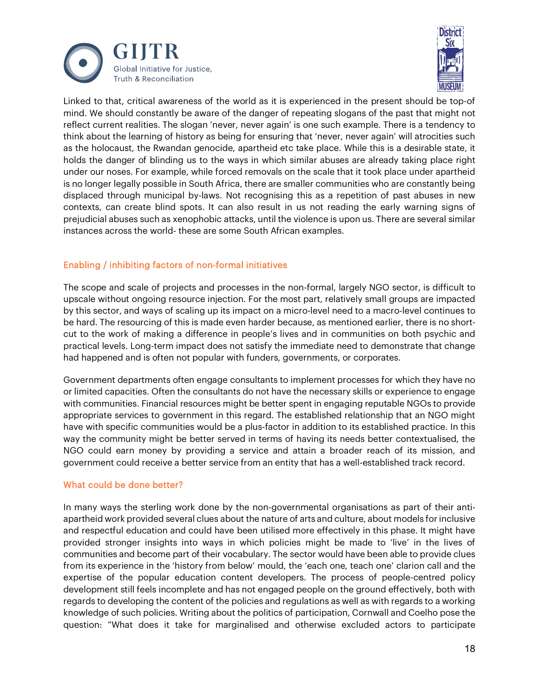



Linked to that, critical awareness of the world as it is experienced in the present should be top-of mind. We should constantly be aware of the danger of repeating slogans of the past that might not reflect current realities. The slogan 'never, never again' is one such example. There is a tendency to think about the learning of history as being for ensuring that 'never, never again' will atrocities such as the holocaust, the Rwandan genocide, apartheid etc take place. While this is a desirable state, it holds the danger of blinding us to the ways in which similar abuses are already taking place right under our noses. For example, while forced removals on the scale that it took place under apartheid is no longer legally possible in South Africa, there are smaller communities who are constantly being displaced through municipal by-laws. Not recognising this as a repetition of past abuses in new contexts, can create blind spots. It can also result in us not reading the early warning signs of prejudicial abuses such as xenophobic attacks, until the violence is upon us. There are several similar instances across the world- these are some South African examples.

## Enabling / inhibiting factors of non-formal initiatives

The scope and scale of projects and processes in the non-formal, largely NGO sector, is difficult to upscale without ongoing resource injection. For the most part, relatively small groups are impacted by this sector, and ways of scaling up its impact on a micro-level need to a macro-level continues to be hard. The resourcing of this is made even harder because, as mentioned earlier, there is no shortcut to the work of making a difference in people's lives and in communities on both psychic and practical levels. Long-term impact does not satisfy the immediate need to demonstrate that change had happened and is often not popular with funders, governments, or corporates.

Government departments often engage consultants to implement processes for which they have no or limited capacities. Often the consultants do not have the necessary skills or experience to engage with communities. Financial resources might be better spent in engaging reputable NGOs to provide appropriate services to government in this regard. The established relationship that an NGO might have with specific communities would be a plus-factor in addition to its established practice. In this way the community might be better served in terms of having its needs better contextualised, the NGO could earn money by providing a service and attain a broader reach of its mission, and government could receive a better service from an entity that has a well-established track record.

## What could be done better?

In many ways the sterling work done by the non-governmental organisations as part of their antiapartheid work provided several clues about the nature of arts and culture, about models for inclusive and respectful education and could have been utilised more effectively in this phase. It might have provided stronger insights into ways in which policies might be made to 'live' in the lives of communities and become part of their vocabulary. The sector would have been able to provide clues from its experience in the 'history from below' mould, the 'each one, teach one' clarion call and the expertise of the popular education content developers. The process of people-centred policy development still feels incomplete and has not engaged people on the ground effectively, both with regards to developing the content of the policies and regulations as well as with regards to a working knowledge of such policies. Writing about the politics of participation, Cornwall and Coelho pose the question: "What does it take for marginalised and otherwise excluded actors to participate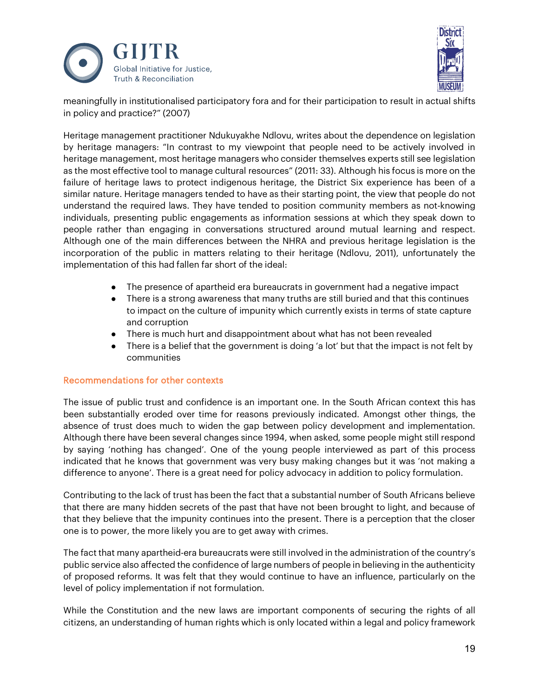



meaningfully in institutionalised participatory fora and for their participation to result in actual shifts in policy and practice?" (2007)

Heritage management practitioner Ndukuyakhe Ndlovu, writes about the dependence on legislation by heritage managers: "In contrast to my viewpoint that people need to be actively involved in heritage management, most heritage managers who consider themselves experts still see legislation as the most effective tool to manage cultural resources" (2011: 33). Although his focus is more on the failure of heritage laws to protect indigenous heritage, the District Six experience has been of a similar nature. Heritage managers tended to have as their starting point, the view that people do not understand the required laws. They have tended to position community members as not-knowing individuals, presenting public engagements as information sessions at which they speak down to people rather than engaging in conversations structured around mutual learning and respect. Although one of the main differences between the NHRA and previous heritage legislation is the incorporation of the public in matters relating to their heritage (Ndlovu, 2011), unfortunately the implementation of this had fallen far short of the ideal:

- The presence of apartheid era bureaucrats in government had a negative impact
- There is a strong awareness that many truths are still buried and that this continues to impact on the culture of impunity which currently exists in terms of state capture and corruption
- There is much hurt and disappointment about what has not been revealed
- There is a belief that the government is doing 'a lot' but that the impact is not felt by communities

#### Recommendations for other contexts

The issue of public trust and confidence is an important one. In the South African context this has been substantially eroded over time for reasons previously indicated. Amongst other things, the absence of trust does much to widen the gap between policy development and implementation. Although there have been several changes since 1994, when asked, some people might still respond by saying 'nothing has changed'. One of the young people interviewed as part of this process indicated that he knows that government was very busy making changes but it was 'not making a difference to anyone'. There is a great need for policy advocacy in addition to policy formulation.

Contributing to the lack of trust has been the fact that a substantial number of South Africans believe that there are many hidden secrets of the past that have not been brought to light, and because of that they believe that the impunity continues into the present. There is a perception that the closer one is to power, the more likely you are to get away with crimes.

The fact that many apartheid-era bureaucrats were still involved in the administration of the country's public service also affected the confidence of large numbers of people in believing in the authenticity of proposed reforms. It was felt that they would continue to have an influence, particularly on the level of policy implementation if not formulation.

While the Constitution and the new laws are important components of securing the rights of all citizens, an understanding of human rights which is only located within a legal and policy framework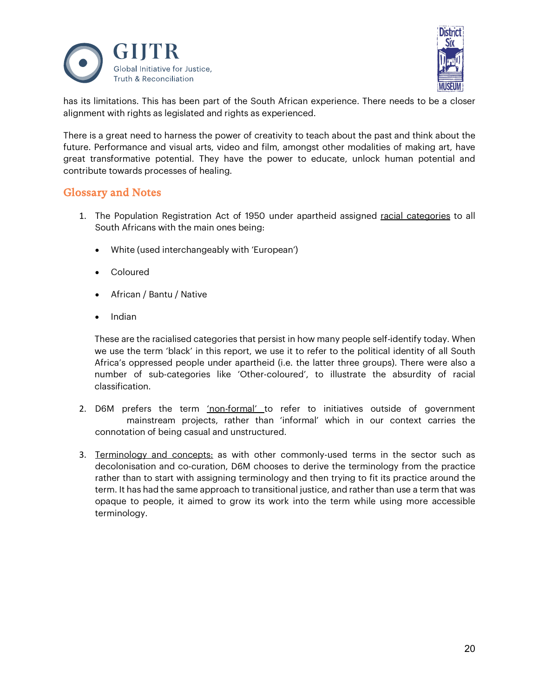



has its limitations. This has been part of the South African experience. There needs to be a closer alignment with rights as legislated and rights as experienced.

There is a great need to harness the power of creativity to teach about the past and think about the future. Performance and visual arts, video and film, amongst other modalities of making art, have great transformative potential. They have the power to educate, unlock human potential and contribute towards processes of healing.

## Glossary and Notes

- 1. The Population Registration Act of 1950 under apartheid assigned racial categories to all South Africans with the main ones being:
	- White (used interchangeably with 'European')
	- Coloured
	- African / Bantu / Native
	- Indian

These are the racialised categories that persist in how many people self-identify today. When we use the term 'black' in this report, we use it to refer to the political identity of all South Africa's oppressed people under apartheid (i.e. the latter three groups). There were also a number of sub-categories like 'Other-coloured', to illustrate the absurdity of racial classification.

- 2. D6M prefers the term 'non-formal' to refer to initiatives outside of government mainstream projects, rather than 'informal' which in our context carries the connotation of being casual and unstructured.
- 3. Terminology and concepts: as with other commonly-used terms in the sector such as decolonisation and co-curation, D6M chooses to derive the terminology from the practice rather than to start with assigning terminology and then trying to fit its practice around the term. It has had the same approach to transitional justice, and rather than use a term that was opaque to people, it aimed to grow its work into the term while using more accessible terminology.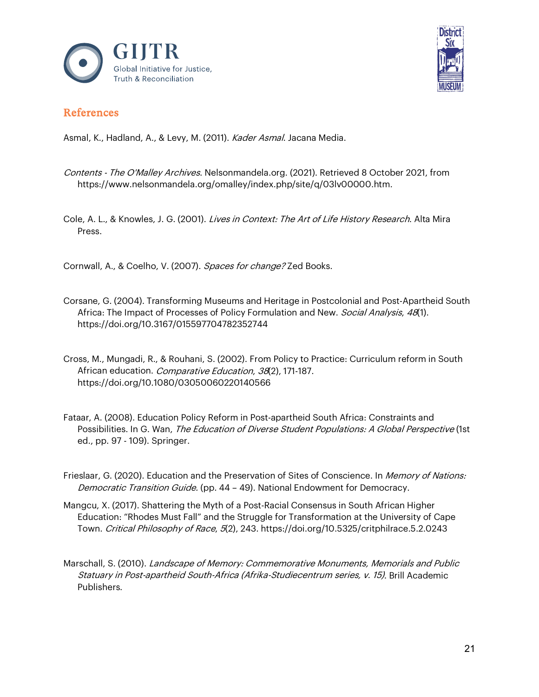



# References

Asmal, K., Hadland, A., & Levy, M. (2011). Kader Asmal. Jacana Media.

- Contents The O'Malley Archives. Nelsonmandela.org. (2021). Retrieved 8 October 2021, from https://www.nelsonmandela.org/omalley/index.php/site/q/03lv00000.htm.
- Cole, A. L., & Knowles, J. G. (2001). Lives in Context: The Art of Life History Research. Alta Mira Press.

Cornwall, A., & Coelho, V. (2007). Spaces for change? Zed Books.

- Corsane, G. (2004). Transforming Museums and Heritage in Postcolonial and Post-Apartheid South Africa: The Impact of Processes of Policy Formulation and New. Social Analysis, 48(1). https://doi.org/10.3167/015597704782352744
- Cross, M., Mungadi, R., & Rouhani, S. (2002). From Policy to Practice: Curriculum reform in South African education. *Comparative Education, 38*(2), 171-187. https://doi.org/10.1080/03050060220140566
- Fataar, A. (2008). Education Policy Reform in Post-apartheid South Africa: Constraints and Possibilities. In G. Wan, The Education of Diverse Student Populations: A Global Perspective (1st ed., pp. 97 - 109). Springer.
- Frieslaar, G. (2020). Education and the Preservation of Sites of Conscience. In *Memory of Nations:* Democratic Transition Guide. (pp. 44 - 49). National Endowment for Democracy.
- Mangcu, X. (2017). Shattering the Myth of a Post-Racial Consensus in South African Higher Education: "Rhodes Must Fall" and the Struggle for Transformation at the University of Cape Town. Critical Philosophy of Race, 5(2), 243. https://doi.org/10.5325/critphilrace.5.2.0243
- Marschall, S. (2010). Landscape of Memory: Commemorative Monuments, Memorials and Public Statuary in Post-apartheid South-Africa (Afrika-Studiecentrum series, v. 15). Brill Academic Publishers.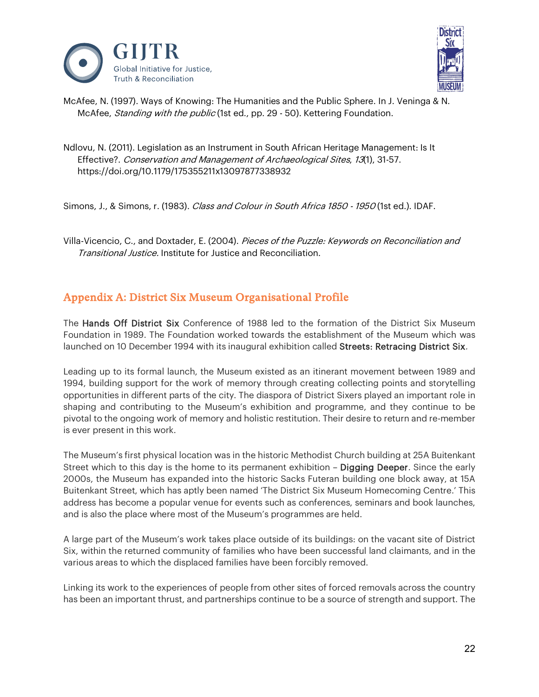



McAfee, N. (1997). Ways of Knowing: The Humanities and the Public Sphere. In J. Veninga & N. McAfee, *Standing with the public* (1st ed., pp. 29 - 50). Kettering Foundation.

Ndlovu, N. (2011). Legislation as an Instrument in South African Heritage Management: Is It Effective?. Conservation and Management of Archaeological Sites, 13(1), 31-57. https://doi.org/10.1179/175355211x13097877338932

Simons, J., & Simons, r. (1983). Class and Colour in South Africa 1850 - 1950 (1st ed.). IDAF.

Villa-Vicencio, C., and Doxtader, E. (2004). Pieces of the Puzzle: Keywords on Reconciliation and Transitional Justice. Institute for Justice and Reconciliation.

# Appendix A: District Six Museum Organisational Profile

The Hands Off District Six Conference of 1988 led to the formation of the District Six Museum Foundation in 1989. The Foundation worked towards the establishment of the Museum which was launched on 10 December 1994 with its inaugural exhibition called Streets: Retracing District Six.

Leading up to its formal launch, the Museum existed as an itinerant movement between 1989 and 1994, building support for the work of memory through creating collecting points and storytelling opportunities in different parts of the city. The diaspora of District Sixers played an important role in shaping and contributing to the Museum's exhibition and programme, and they continue to be pivotal to the ongoing work of memory and holistic restitution. Their desire to return and re-member is ever present in this work.

The Museum's first physical location was in the historic Methodist Church building at 25A Buitenkant Street which to this day is the home to its permanent exhibition - Digging Deeper. Since the early 2000s, the Museum has expanded into the historic Sacks Futeran building one block away, at 15A Buitenkant Street, which has aptly been named 'The District Six Museum Homecoming Centre.' This address has become a popular venue for events such as conferences, seminars and book launches, and is also the place where most of the Museum's programmes are held.

A large part of the Museum's work takes place outside of its buildings: on the vacant site of District Six, within the returned community of families who have been successful land claimants, and in the various areas to which the displaced families have been forcibly removed.

Linking its work to the experiences of people from other sites of forced removals across the country has been an important thrust, and partnerships continue to be a source of strength and support. The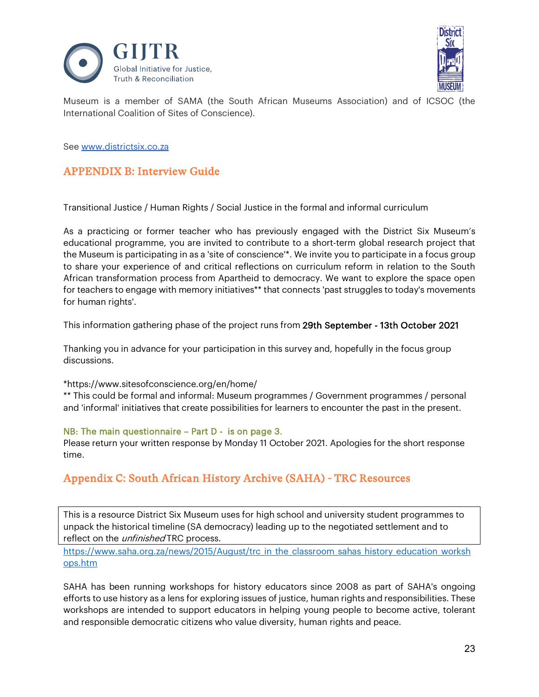



Museum is a member of SAMA (the South African Museums Association) and of ICSOC (the International Coalition of Sites of Conscience).

See [www.districtsix.co.za](http://www.districtsix.co.za/)

# APPENDIX B: Interview Guide

Transitional Justice / Human Rights / Social Justice in the formal and informal curriculum

As a practicing or former teacher who has previously engaged with the District Six Museum's educational programme, you are invited to contribute to a short-term global research project that the Museum is participating in as a 'site of conscience'\*. We invite you to participate in a focus group to share your experience of and critical reflections on curriculum reform in relation to the South African transformation process from Apartheid to democracy. We want to explore the space open for teachers to engage with memory initiatives\*\* that connects 'past struggles to today's movements for human rights'.

This information gathering phase of the project runs from 29th September - 13th October 2021

Thanking you in advance for your participation in this survey and, hopefully in the focus group discussions.

#### \*https://www.sitesofconscience.org/en/home/

\*\* This could be formal and informal: Museum programmes / Government programmes / personal and 'informal' initiatives that create possibilities for learners to encounter the past in the present.

#### NB: The main questionnaire – Part D - is on page 3.

Please return your written response by Monday 11 October 2021. Apologies for the short response time.

# Appendix C: South African History Archive (SAHA) - TRC Resources

This is a resource District Six Museum uses for high school and university student programmes to unpack the historical timeline (SA democracy) leading up to the negotiated settlement and to reflect on the *unfinished* TRC process.

https://www.saha.org.za/news/2015/August/trc in the classroom sahas history education worksh [ops.htm](https://www.saha.org.za/news/2015/August/trc_in_the_classroom_sahas_history_education_workshops.htm)

SAHA has been running workshops for history educators since 2008 as part of SAHA's ongoing efforts to use history as a lens for exploring issues of justice, human rights and responsibilities. These workshops are intended to support educators in helping young people to become active, tolerant and responsible democratic citizens who value diversity, human rights and peace.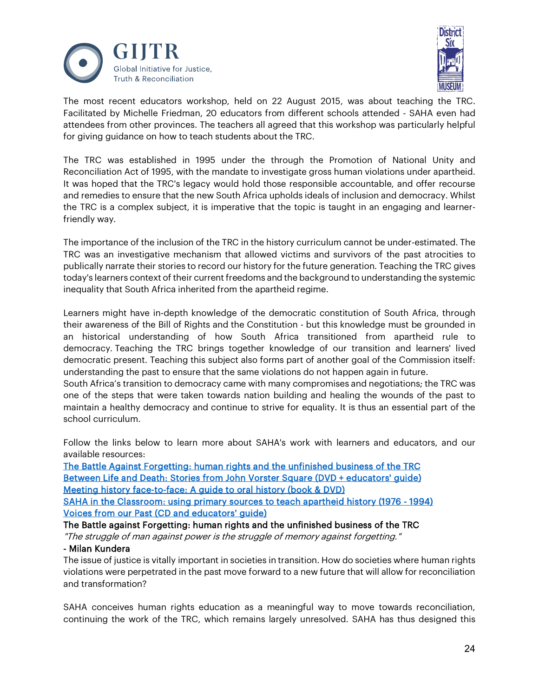



The most recent educators workshop, held on 22 August 2015, was about teaching the TRC. Facilitated by Michelle Friedman, 20 educators from different schools attended - SAHA even had attendees from other provinces. The teachers all agreed that this workshop was particularly helpful for giving guidance on how to teach students about the TRC.

The TRC was established in 1995 under the through the Promotion of National Unity and Reconciliation Act of 1995, with the mandate to investigate gross human violations under apartheid. It was hoped that the TRC's legacy would hold those responsible accountable, and offer recourse and remedies to ensure that the new South Africa upholds ideals of inclusion and democracy. Whilst the TRC is a complex subject, it is imperative that the topic is taught in an engaging and learnerfriendly way.

The importance of the inclusion of the TRC in the history curriculum cannot be under-estimated. The TRC was an investigative mechanism that allowed victims and survivors of the past atrocities to publically narrate their stories to record our history for the future generation. Teaching the TRC gives today's learners context of their current freedoms and the background to understanding the systemic inequality that South Africa inherited from the apartheid regime.

Learners might have in-depth knowledge of the democratic constitution of South Africa, through their awareness of the Bill of Rights and the Constitution - but this knowledge must be grounded in an historical understanding of how South Africa transitioned from apartheid rule to democracy. Teaching the TRC brings together knowledge of our transition and learners' lived democratic present. Teaching this subject also forms part of another goal of the Commission itself: understanding the past to ensure that the same violations do not happen again in future.

South Africa's transition to democracy came with many compromises and negotiations; the TRC was one of the steps that were taken towards nation building and healing the wounds of the past to maintain a healthy democracy and continue to strive for equality. It is thus an essential part of the school curriculum.

Follow the links below to learn more about SAHA's work with learners and educators, and our available resources:

[The Battle Against Forgetting: human rights and the unfinished business of the TRC](https://www.saha.org.za/publications/battle_against_forgetting_human_rights_and_the_trc.htm)  [Between Life and Death: Stories from John Vorster Square \(DVD + educators' guide\)](https://www.saha.org.za/publications/between_life_death_educators_guide.htm)  [Meeting history face-to-face: A guide to oral history \(book & DVD\)](https://www.saha.org.za/publications/meeting_history_face_to_face.htm) 

[SAHA in the Classroom: using primary sources to teach apartheid history \(1976 - 1994\)](https://www.saha.org.za/projects/saha_in_the_classroom.htm)  [Voices from our Past \(CD and educators' guide\)](https://www.saha.org.za/publications/voices_from_our_past.htm)

The Battle against Forgetting: human rights and the unfinished business of the TRC

"The struggle of man against power is the struggle of memory against forgetting."

## - Milan Kundera

The issue of justice is vitally important in societies in transition. How do societies where human rights violations were perpetrated in the past move forward to a new future that will allow for reconciliation and transformation?

SAHA conceives human rights education as a meaningful way to move towards reconciliation, continuing the work of the TRC, which remains largely unresolved. SAHA has thus designed this